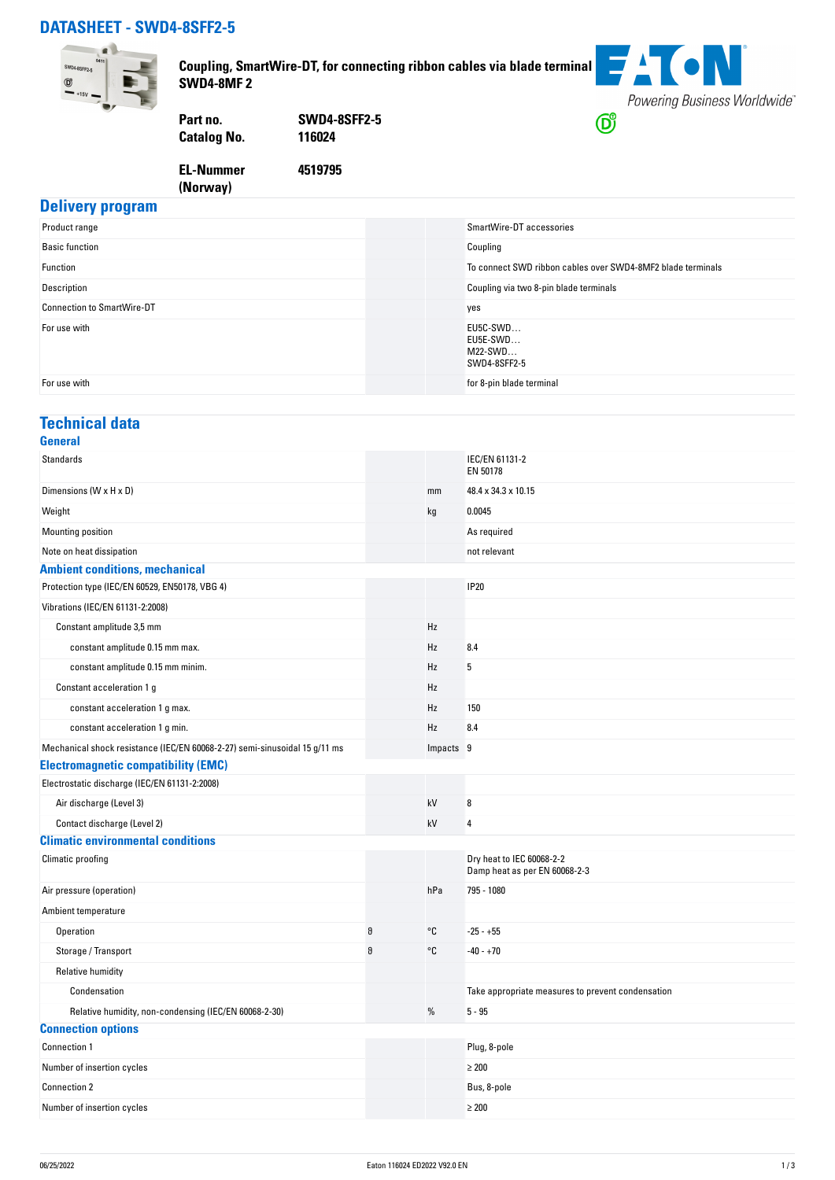### **DATASHEET - SWD4-8SFF2-5**



**Delivery program**

**Coupling, SmartWire-DT, for connecting ribbon cables via blade terminal SWD4-8MF 2**



**Part no. SWD4-8SFF2-5 Catalog No.** 

**EL-Nummer**

**4519795**

## **(Norway)**

| Product range                     | SmartWire-DT accessories                                    |
|-----------------------------------|-------------------------------------------------------------|
| <b>Basic function</b>             | Coupling                                                    |
| Function                          | To connect SWD ribbon cables over SWD4-8MF2 blade terminals |
| Description                       | Coupling via two 8-pin blade terminals                      |
| <b>Connection to SmartWire-DT</b> | yes                                                         |
| For use with                      | EU5C-SWD<br>EU5E-SWD<br>$M22-SWD$<br>SWD4-8SFF2-5           |
| For use with                      | for 8-pin blade terminal                                    |

#### **Technical data**

| <b>General</b>                                                             |   |           |                                                            |
|----------------------------------------------------------------------------|---|-----------|------------------------------------------------------------|
| <b>Standards</b>                                                           |   |           | IEC/EN 61131-2<br>EN 50178                                 |
| Dimensions (W x H x D)                                                     |   | mm        | 48.4 x 34.3 x 10.15                                        |
| Weight                                                                     |   | kg        | 0.0045                                                     |
| Mounting position                                                          |   |           | As required                                                |
| Note on heat dissipation                                                   |   |           | not relevant                                               |
| <b>Ambient conditions, mechanical</b>                                      |   |           |                                                            |
| Protection type (IEC/EN 60529, EN50178, VBG 4)                             |   |           | <b>IP20</b>                                                |
| Vibrations (IEC/EN 61131-2:2008)                                           |   |           |                                                            |
| Constant amplitude 3,5 mm                                                  |   | Hz        |                                                            |
| constant amplitude 0.15 mm max.                                            |   | Hz        | 8.4                                                        |
| constant amplitude 0.15 mm minim.                                          |   | Hz        | 5                                                          |
| Constant acceleration 1 g                                                  |   | Hz        |                                                            |
| constant acceleration 1 g max.                                             |   | Hz        | 150                                                        |
| constant acceleration 1 g min.                                             |   | Hz        | 8.4                                                        |
| Mechanical shock resistance (IEC/EN 60068-2-27) semi-sinusoidal 15 g/11 ms |   | Impacts 9 |                                                            |
| <b>Electromagnetic compatibility (EMC)</b>                                 |   |           |                                                            |
| Electrostatic discharge (IEC/EN 61131-2:2008)                              |   |           |                                                            |
| Air discharge (Level 3)                                                    |   | kV        | $\boldsymbol{8}$                                           |
| Contact discharge (Level 2)                                                |   | kV        | $\overline{4}$                                             |
| <b>Climatic environmental conditions</b>                                   |   |           |                                                            |
| Climatic proofing                                                          |   |           | Dry heat to IEC 60068-2-2<br>Damp heat as per EN 60068-2-3 |
| Air pressure (operation)                                                   |   | hPa       | 795 - 1080                                                 |
| Ambient temperature                                                        |   |           |                                                            |
| Operation                                                                  | 9 | °C        | $-25 - +55$                                                |
| Storage / Transport                                                        | θ | °€        | $-40 - +70$                                                |
| Relative humidity                                                          |   |           |                                                            |
| Condensation                                                               |   |           | Take appropriate measures to prevent condensation          |
| Relative humidity, non-condensing (IEC/EN 60068-2-30)                      |   | %         | $5 - 95$                                                   |
| <b>Connection options</b>                                                  |   |           |                                                            |
| Connection 1                                                               |   |           | Plug, 8-pole                                               |
| Number of insertion cycles                                                 |   |           | $\geq 200$                                                 |
| Connection 2                                                               |   |           | Bus, 8-pole                                                |
| Number of insertion cycles                                                 |   |           | $\geq 200$                                                 |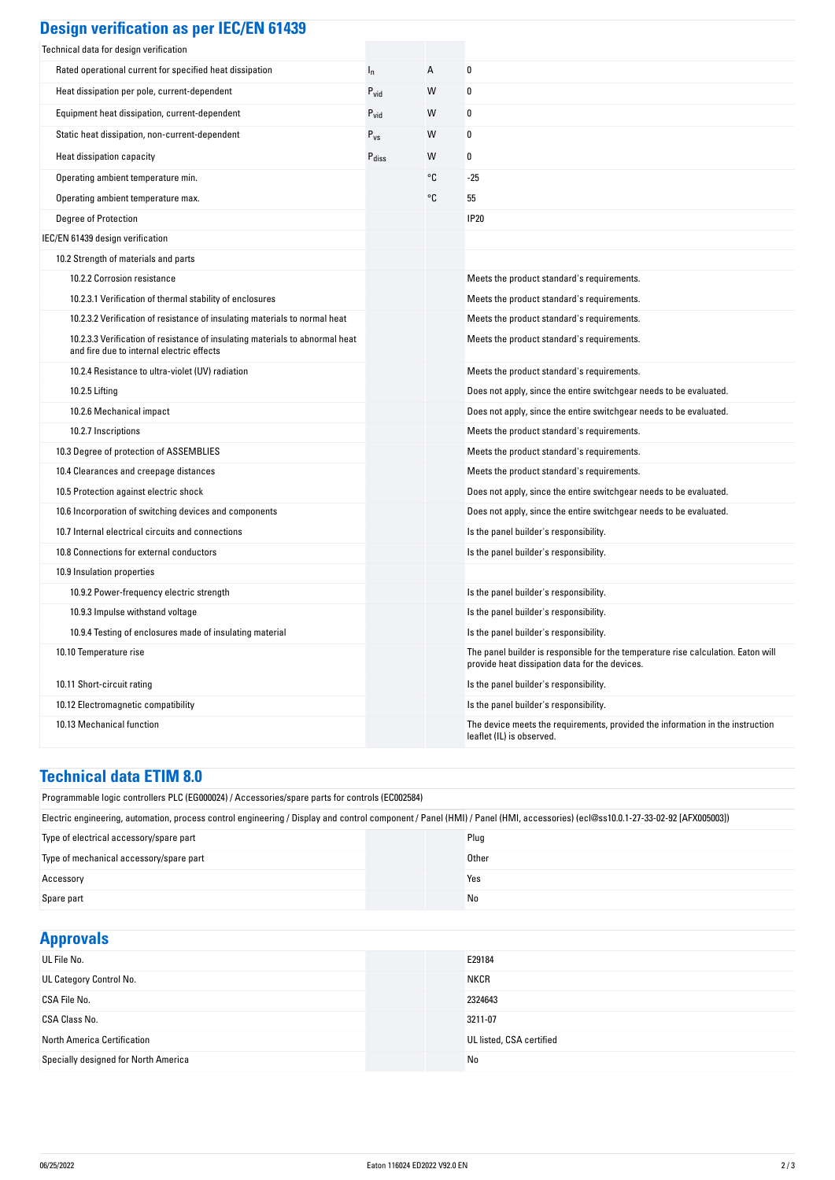| <b>Design verification as per IEC/EN 61439</b>                                                                            |                   |    |                                                                                                                                     |
|---------------------------------------------------------------------------------------------------------------------------|-------------------|----|-------------------------------------------------------------------------------------------------------------------------------------|
| Technical data for design verification                                                                                    |                   |    |                                                                                                                                     |
| Rated operational current for specified heat dissipation                                                                  | $I_n$             | А  | 0                                                                                                                                   |
| Heat dissipation per pole, current-dependent                                                                              | $P_{vid}$         | W  | 0                                                                                                                                   |
| Equipment heat dissipation, current-dependent                                                                             | $P_{\text{vid}}$  | W  | 0                                                                                                                                   |
| Static heat dissipation, non-current-dependent                                                                            | $P_{VS}$          | W  | 0                                                                                                                                   |
| Heat dissipation capacity                                                                                                 | $P_{\text{diss}}$ | W  | 0                                                                                                                                   |
| Operating ambient temperature min.                                                                                        |                   | °C | $-25$                                                                                                                               |
| Operating ambient temperature max.                                                                                        |                   | °C | 55                                                                                                                                  |
| Degree of Protection                                                                                                      |                   |    | <b>IP20</b>                                                                                                                         |
| IEC/EN 61439 design verification                                                                                          |                   |    |                                                                                                                                     |
| 10.2 Strength of materials and parts                                                                                      |                   |    |                                                                                                                                     |
| 10.2.2 Corrosion resistance                                                                                               |                   |    | Meets the product standard's requirements.                                                                                          |
| 10.2.3.1 Verification of thermal stability of enclosures                                                                  |                   |    | Meets the product standard's requirements.                                                                                          |
| 10.2.3.2 Verification of resistance of insulating materials to normal heat                                                |                   |    | Meets the product standard's requirements.                                                                                          |
| 10.2.3.3 Verification of resistance of insulating materials to abnormal heat<br>and fire due to internal electric effects |                   |    | Meets the product standard's requirements.                                                                                          |
| 10.2.4 Resistance to ultra-violet (UV) radiation                                                                          |                   |    | Meets the product standard's requirements.                                                                                          |
| 10.2.5 Lifting                                                                                                            |                   |    | Does not apply, since the entire switchgear needs to be evaluated.                                                                  |
| 10.2.6 Mechanical impact                                                                                                  |                   |    | Does not apply, since the entire switchgear needs to be evaluated.                                                                  |
| 10.2.7 Inscriptions                                                                                                       |                   |    | Meets the product standard's requirements.                                                                                          |
| 10.3 Degree of protection of ASSEMBLIES                                                                                   |                   |    | Meets the product standard's requirements.                                                                                          |
| 10.4 Clearances and creepage distances                                                                                    |                   |    | Meets the product standard's requirements.                                                                                          |
| 10.5 Protection against electric shock                                                                                    |                   |    | Does not apply, since the entire switchgear needs to be evaluated.                                                                  |
| 10.6 Incorporation of switching devices and components                                                                    |                   |    | Does not apply, since the entire switchgear needs to be evaluated.                                                                  |
| 10.7 Internal electrical circuits and connections                                                                         |                   |    | Is the panel builder's responsibility.                                                                                              |
| 10.8 Connections for external conductors                                                                                  |                   |    | Is the panel builder's responsibility.                                                                                              |
| 10.9 Insulation properties                                                                                                |                   |    |                                                                                                                                     |
| 10.9.2 Power-frequency electric strength                                                                                  |                   |    | Is the panel builder's responsibility.                                                                                              |
| 10.9.3 Impulse withstand voltage                                                                                          |                   |    | Is the panel builder's responsibility.                                                                                              |
| 10.9.4 Testing of enclosures made of insulating material                                                                  |                   |    | Is the panel builder's responsibility.                                                                                              |
| 10.10 Temperature rise                                                                                                    |                   |    | The panel builder is responsible for the temperature rise calculation. Eaton will<br>provide heat dissipation data for the devices. |
| 10.11 Short-circuit rating                                                                                                |                   |    | Is the panel builder's responsibility.                                                                                              |
| 10.12 Electromagnetic compatibility                                                                                       |                   |    | Is the panel builder's responsibility.                                                                                              |
| 10.13 Mechanical function                                                                                                 |                   |    | The device meets the requirements, provided the information in the instruction<br>leaflet (IL) is observed.                         |

#### **Technical data ETIM 8.0**

| Programmable logic controllers PLC (EG000024) / Accessories/spare parts for controls (EC002584)                                                                               |             |  |  |
|-------------------------------------------------------------------------------------------------------------------------------------------------------------------------------|-------------|--|--|
| Electric engineering, automation, process control engineering / Display and control component / Panel (HMI) / Panel (HMI, accessories) (ecl@ss10.0.1-27-33-02-92 [AFX005003]) |             |  |  |
| Type of electrical accessory/spare part                                                                                                                                       | Plug        |  |  |
| Type of mechanical accessory/spare part                                                                                                                                       | Other       |  |  |
| Accessory                                                                                                                                                                     | Yes         |  |  |
| Spare part                                                                                                                                                                    | No          |  |  |
|                                                                                                                                                                               |             |  |  |
| <b>Approvals</b>                                                                                                                                                              |             |  |  |
| UL File No.                                                                                                                                                                   | E29184      |  |  |
| UL Category Control No.                                                                                                                                                       | <b>NKCR</b> |  |  |
| CSA File No                                                                                                                                                                   | 2324643     |  |  |

| OL Calegory Control No.              | <b>IVNUR</b>             |
|--------------------------------------|--------------------------|
| CSA File No.                         | 2324643                  |
| CSA Class No.                        | 3211-07                  |
| North America Certification          | UL listed, CSA certified |
| Specially designed for North America | No                       |